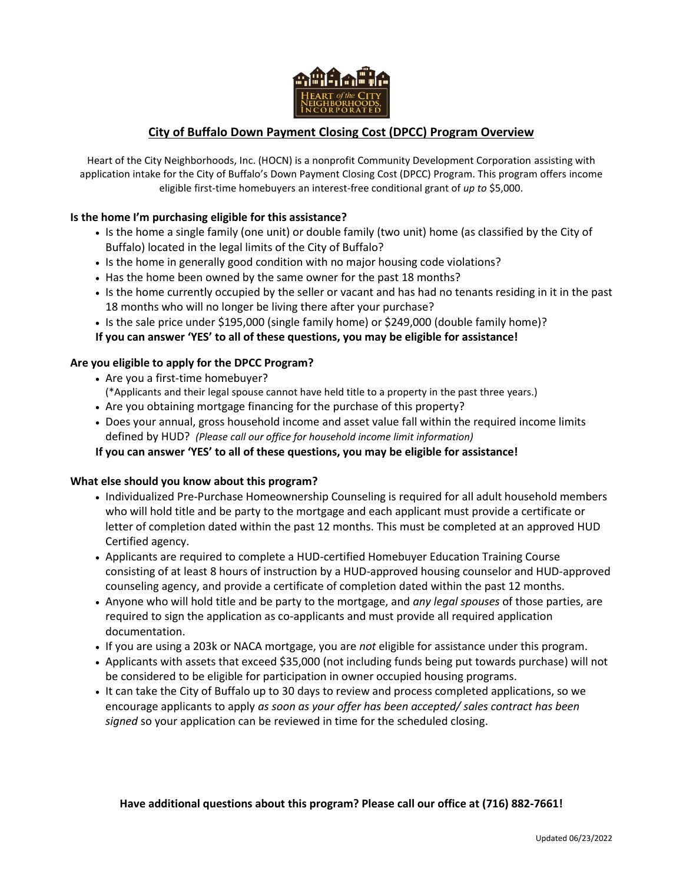

# **City of Buffalo Down Payment Closing Cost (DPCC) Program Overview**

Heart of the City Neighborhoods, Inc. (HOCN) is a nonprofit Community Development Corporation assisting with application intake for the City of Buffalo's Down Payment Closing Cost (DPCC) Program. This program offers income eligible first-time homebuyers an interest-free conditional grant of *up to* \$5,000.

#### **Is the home I'm purchasing eligible for this assistance?**

- Is the home a single family (one unit) or double family (two unit) home (as classified by the City of Buffalo) located in the legal limits of the City of Buffalo?
- Is the home in generally good condition with no major housing code violations?
- Has the home been owned by the same owner for the past 18 months?
- Is the home currently occupied by the seller or vacant and has had no tenants residing in it in the past 18 months who will no longer be living there after your purchase?
- Is the sale price under \$195,000 (single family home) or \$249,000 (double family home)?

**If you can answer 'YES' to all of these questions, you may be eligible for assistance!**

## **Are you eligible to apply for the DPCC Program?**

- Are you a first-time homebuyer? (\*Applicants and their legal spouse cannot have held title to a property in the past three years.)
- Are you obtaining mortgage financing for the purchase of this property?
- Does your annual, gross household income and asset value fall within the required income limits defined by HUD? *(Please call our office for household income limit information)*

## **If you can answer 'YES' to all of these questions, you may be eligible for assistance!**

#### **What else should you know about this program?**

- Individualized Pre-Purchase Homeownership Counseling is required for all adult household members who will hold title and be party to the mortgage and each applicant must provide a certificate or letter of completion dated within the past 12 months. This must be completed at an approved HUD Certified agency.
- Applicants are required to complete a HUD-certified Homebuyer Education Training Course consisting of at least 8 hours of instruction by a HUD-approved housing counselor and HUD-approved counseling agency, and provide a certificate of completion dated within the past 12 months.
- Anyone who will hold title and be party to the mortgage, and *any legal spouses* of those parties, are required to sign the application as co-applicants and must provide all required application documentation.
- If you are using a 203k or NACA mortgage, you are *not* eligible for assistance under this program.
- Applicants with assets that exceed \$35,000 (not including funds being put towards purchase) will not be considered to be eligible for participation in owner occupied housing programs.
- It can take the City of Buffalo up to 30 days to review and process completed applications, so we encourage applicants to apply *as soon as your offer has been accepted/ sales contract has been signed* so your application can be reviewed in time for the scheduled closing.

**Have additional questions about this program? Please call our office at (716) 882-7661!**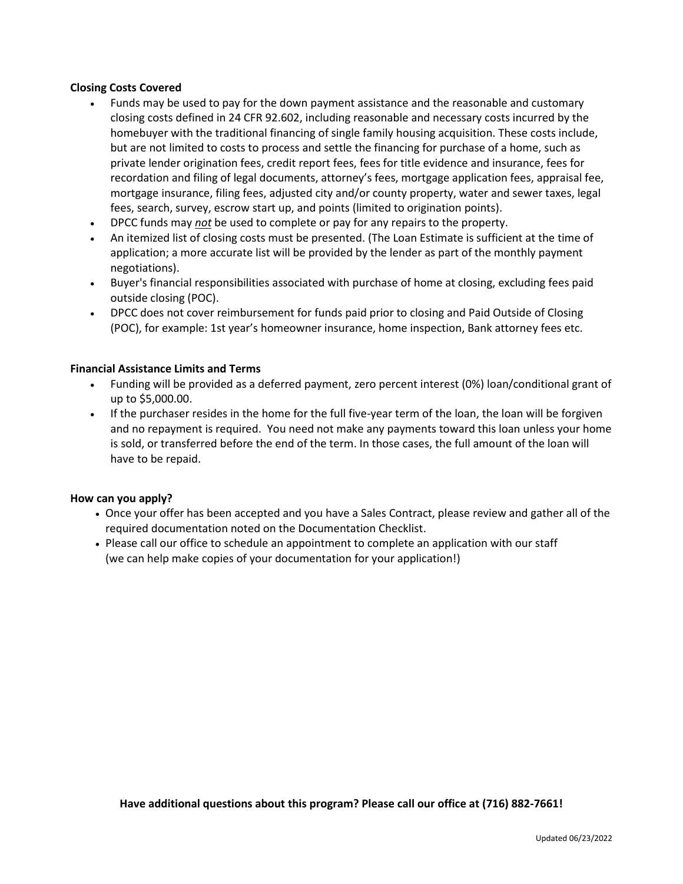#### **Closing Costs Covered**

- Funds may be used to pay for the down payment assistance and the reasonable and customary closing costs defined in 24 CFR 92.602, including reasonable and necessary costs incurred by the homebuyer with the traditional financing of single family housing acquisition. These costs include, but are not limited to costs to process and settle the financing for purchase of a home, such as private lender origination fees, credit report fees, fees for title evidence and insurance, fees for recordation and filing of legal documents, attorney's fees, mortgage application fees, appraisal fee, mortgage insurance, filing fees, adjusted city and/or county property, water and sewer taxes, legal fees, search, survey, escrow start up, and points (limited to origination points).
- DPCC funds may *not* be used to complete or pay for any repairs to the property.
- An itemized list of closing costs must be presented. (The Loan Estimate is sufficient at the time of application; a more accurate list will be provided by the lender as part of the monthly payment negotiations).
- Buyer's financial responsibilities associated with purchase of home at closing, excluding fees paid outside closing (POC).
- DPCC does not cover reimbursement for funds paid prior to closing and Paid Outside of Closing (POC), for example: 1st year's homeowner insurance, home inspection, Bank attorney fees etc.

#### **Financial Assistance Limits and Terms**

- Funding will be provided as a deferred payment, zero percent interest (0%) loan/conditional grant of up to \$5,000.00.
- If the purchaser resides in the home for the full five-year term of the loan, the loan will be forgiven and no repayment is required. You need not make any payments toward this loan unless your home is sold, or transferred before the end of the term. In those cases, the full amount of the loan will have to be repaid.

#### **How can you apply?**

- Once your offer has been accepted and you have a Sales Contract, please review and gather all of the required documentation noted on the Documentation Checklist.
- Please call our office to schedule an appointment to complete an application with our staff (we can help make copies of your documentation for your application!)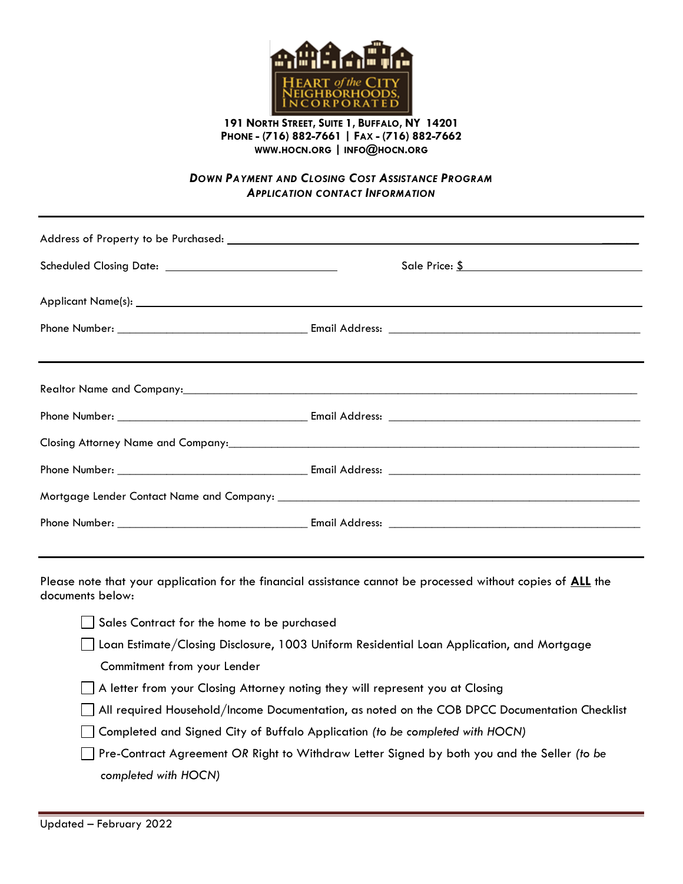

## **191 NORTH STREET, SUITE 1, BUFFALO, NY 14201 PHONE - (716) 882-7661 | FAX - (716) 882-7662 WWW.HOCN.ORG | INFO@HOCN.ORG**

*DOWN PAYMENT AND CLOSING COST ASSISTANCE PROGRAM APPLICATION CONTACT INFORMATION*

|                                                                                                                                  | Sale Price: \$ |  |
|----------------------------------------------------------------------------------------------------------------------------------|----------------|--|
|                                                                                                                                  |                |  |
|                                                                                                                                  |                |  |
|                                                                                                                                  |                |  |
|                                                                                                                                  |                |  |
|                                                                                                                                  |                |  |
|                                                                                                                                  |                |  |
|                                                                                                                                  |                |  |
|                                                                                                                                  |                |  |
|                                                                                                                                  |                |  |
|                                                                                                                                  |                |  |
| Please note that your application for the financial assistance cannot be processed without copies of ALL the<br>documents below: |                |  |
| Sales Contract for the home to be purchased                                                                                      |                |  |
| Loan Estimate/Closing Disclosure, 1003 Uniform Residential Loan Application, and Mortgage                                        |                |  |
| Commitment from your Lender                                                                                                      |                |  |
| A letter from your Closing Attorney noting they will represent you at Closing                                                    |                |  |
| All required Household/Income Documentation, as noted on the COB DPCC Documentation Checklist                                    |                |  |
| Completed and Signed City of Buffalo Application (to be completed with HOCN)                                                     |                |  |

Pre-Contract Agreement *OR* Right to Withdraw Letter Signed by both you and the Seller *(to be completed with HOCN)*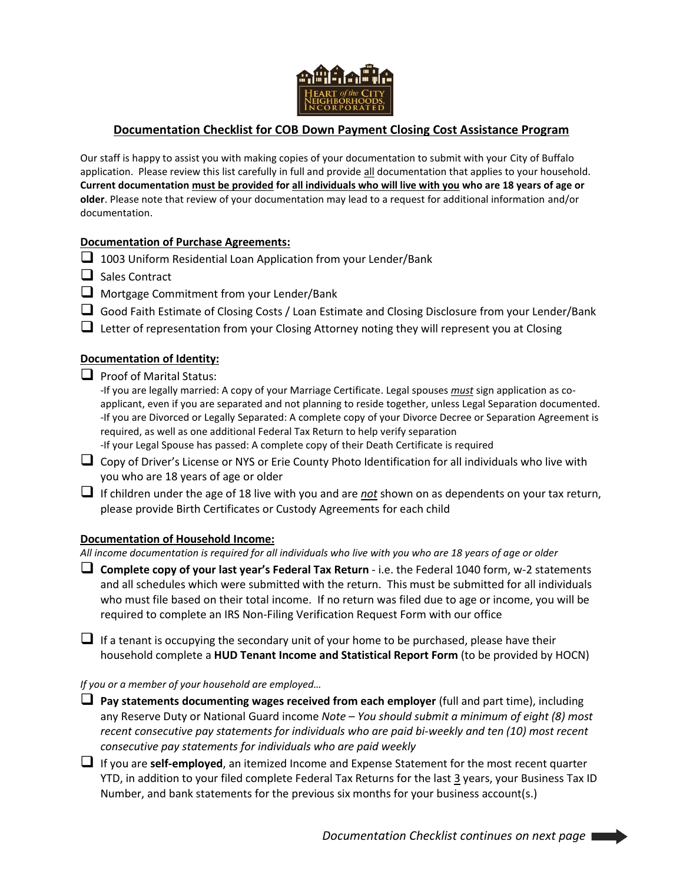

## **Documentation Checklist for COB Down Payment Closing Cost Assistance Program**

Our staff is happy to assist you with making copies of your documentation to submit with your City of Buffalo application. Please review this list carefully in full and provide all documentation that applies to your household. **Current documentation must be provided for all individuals who will live with you who are 18 years of age or older**. Please note that review of your documentation may lead to a request for additional information and/or documentation.

## **Documentation of Purchase Agreements:**

- □ 1003 Uniform Residential Loan Application from your Lender/Bank
- ❑ Sales Contract
- ❑ Mortgage Commitment from your Lender/Bank
- □ Good Faith Estimate of Closing Costs / Loan Estimate and Closing Disclosure from your Lender/Bank
- ❑ Letter of representation from your Closing Attorney noting they will represent you at Closing

#### **Documentation of Identity:**

❑ Proof of Marital Status:

-If you are legally married: A copy of your Marriage Certificate. Legal spouses *must* sign application as coapplicant, even if you are separated and not planning to reside together, unless Legal Separation documented. -If you are Divorced or Legally Separated: A complete copy of your Divorce Decree or Separation Agreement is required, as well as one additional Federal Tax Return to help verify separation -If your Legal Spouse has passed: A complete copy of their Death Certificate is required

- $\Box$  Copy of Driver's License or NYS or Erie County Photo Identification for all individuals who live with you who are 18 years of age or older
- ❑ If children under the age of 18 live with you and are *not* shown on as dependents on your tax return, please provide Birth Certificates or Custody Agreements for each child

#### **Documentation of Household Income:**

*All income documentation is required for all individuals who live with you who are 18 years of age or older*

❑ **Complete copy of your last year's Federal Tax Return** - i.e. the Federal 1040 form, w-2 statements and all schedules which were submitted with the return. This must be submitted for all individuals who must file based on their total income. If no return was filed due to age or income, you will be required to complete an IRS Non-Filing Verification Request Form with our office

 $\Box$  If a tenant is occupying the secondary unit of your home to be purchased, please have their household complete a **HUD Tenant Income and Statistical Report Form** (to be provided by HOCN)

#### *If you or a member of your household are employed…*

- ❑ **Pay statements documenting wages received from each employer** (full and part time), including any Reserve Duty or National Guard income *Note – You should submit a minimum of eight (8) most recent consecutive pay statements for individuals who are paid bi-weekly and ten (10) most recent consecutive pay statements for individuals who are paid weekly*
- ❑ If you are **self-employed**, an itemized Income and Expense Statement for the most recent quarter YTD, in addition to your filed complete Federal Tax Returns for the last 3 years, your Business Tax ID Number, and bank statements for the previous six months for your business account(s.)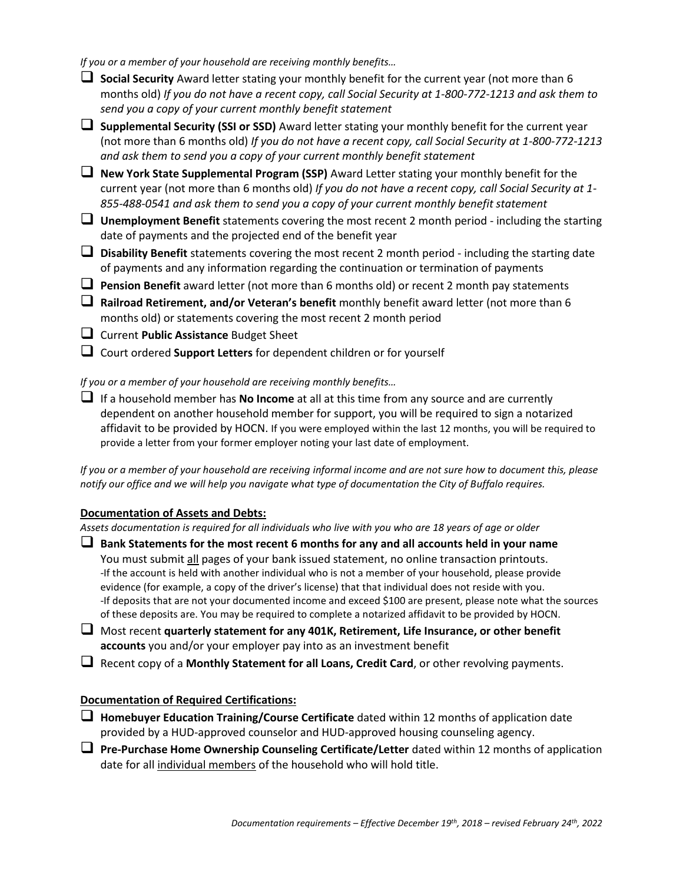*If you or a member of your household are receiving monthly benefits…*

- **Social Security** Award letter stating your monthly benefit for the current year (not more than 6 months old) *If you do not have a recent copy, call Social Security at 1-800-772-1213 and ask them to send you a copy of your current monthly benefit statement*
- ❑ **Supplemental Security (SSI or SSD)** Award letter stating your monthly benefit for the current year (not more than 6 months old) *If you do not have a recent copy, call Social Security at 1-800-772-1213 and ask them to send you a copy of your current monthly benefit statement*
- ❑ **New York State Supplemental Program (SSP)** Award Letter stating your monthly benefit for the current year (not more than 6 months old) *If you do not have a recent copy, call Social Security at 1- 855-488-0541 and ask them to send you a copy of your current monthly benefit statement*
- ❑ **Unemployment Benefit** statements covering the most recent 2 month period including the starting date of payments and the projected end of the benefit year
- ❑ **Disability Benefit** statements covering the most recent 2 month period including the starting date of payments and any information regarding the continuation or termination of payments
- ❑ **Pension Benefit** award letter (not more than 6 months old) or recent 2 month pay statements
- ❑ **Railroad Retirement, and/or Veteran's benefit** monthly benefit award letter (not more than 6 months old) or statements covering the most recent 2 month period
- ❑ Current **Public Assistance** Budget Sheet
- ❑ Court ordered **Support Letters** for dependent children or for yourself

*If you or a member of your household are receiving monthly benefits…*

❑ If a household member has **No Income** at all at this time from any source and are currently dependent on another household member for support, you will be required to sign a notarized affidavit to be provided by HOCN. If you were employed within the last 12 months, you will be required to provide a letter from your former employer noting your last date of employment.

*If you or a member of your household are receiving informal income and are not sure how to document this, please notify our office and we will help you navigate what type of documentation the City of Buffalo requires.*

#### **Documentation of Assets and Debts:**

*Assets documentation is required for all individuals who live with you who are 18 years of age or older*

- ❑ **Bank Statements for the most recent 6 months for any and all accounts held in your name** You must submit all pages of your bank issued statement, no online transaction printouts. -If the account is held with another individual who is not a member of your household, please provide evidence (for example, a copy of the driver's license) that that individual does not reside with you. -If deposits that are not your documented income and exceed \$100 are present, please note what the sources of these deposits are. You may be required to complete a notarized affidavit to be provided by HOCN.
- ❑ Most recent **quarterly statement for any 401K, Retirement, Life Insurance, or other benefit accounts** you and/or your employer pay into as an investment benefit
- ❑ Recent copy of a **Monthly Statement for all Loans, Credit Card**, or other revolving payments.

#### **Documentation of Required Certifications:**

- ❑ **Homebuyer Education Training/Course Certificate** dated within 12 months of application date provided by a HUD-approved counselor and HUD-approved housing counseling agency.
- ❑ **Pre-Purchase Home Ownership Counseling Certificate/Letter** dated within 12 months of application date for all individual members of the household who will hold title.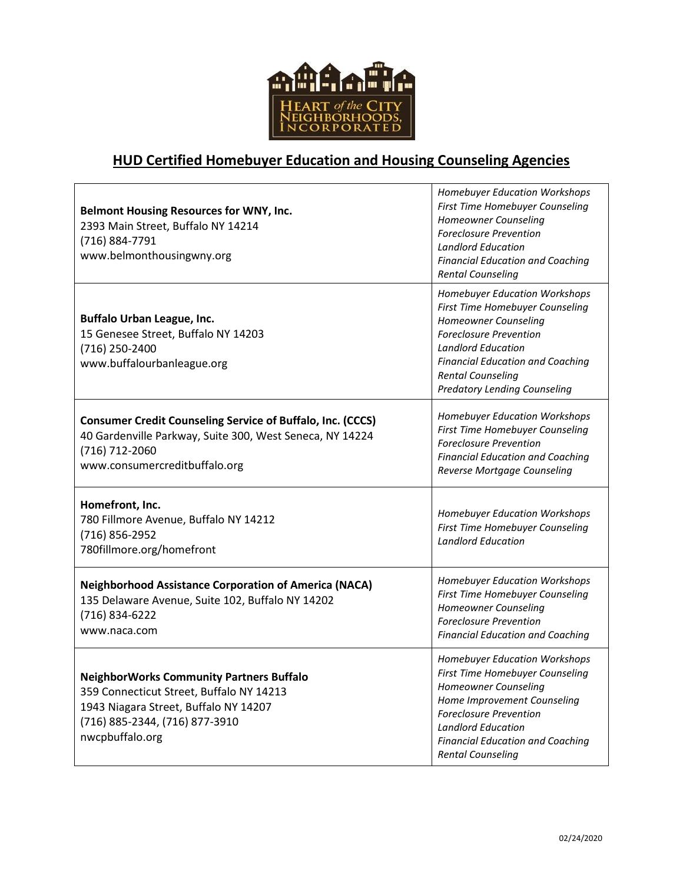

# **HUD Certified Homebuyer Education and Housing Counseling Agencies**

| Belmont Housing Resources for WNY, Inc.<br>2393 Main Street, Buffalo NY 14214<br>(716) 884-7791<br>www.belmonthousingwny.org                                                              | <b>Homebuyer Education Workshops</b><br>First Time Homebuyer Counseling<br>Homeowner Counseling<br><b>Foreclosure Prevention</b><br><b>Landlord Education</b><br><b>Financial Education and Coaching</b><br><b>Rental Counseling</b>                                               |
|-------------------------------------------------------------------------------------------------------------------------------------------------------------------------------------------|------------------------------------------------------------------------------------------------------------------------------------------------------------------------------------------------------------------------------------------------------------------------------------|
| <b>Buffalo Urban League, Inc.</b><br>15 Genesee Street, Buffalo NY 14203<br>(716) 250-2400<br>www.buffalourbanleague.org                                                                  | <b>Homebuyer Education Workshops</b><br>First Time Homebuyer Counseling<br><b>Homeowner Counseling</b><br><b>Foreclosure Prevention</b><br><b>Landlord Education</b><br><b>Financial Education and Coaching</b><br><b>Rental Counseling</b><br><b>Predatory Lending Counseling</b> |
| <b>Consumer Credit Counseling Service of Buffalo, Inc. (CCCS)</b><br>40 Gardenville Parkway, Suite 300, West Seneca, NY 14224<br>(716) 712-2060<br>www.consumercreditbuffalo.org          | Homebuyer Education Workshops<br>First Time Homebuyer Counseling<br><b>Foreclosure Prevention</b><br><b>Financial Education and Coaching</b><br>Reverse Mortgage Counseling                                                                                                        |
| Homefront, Inc.<br>780 Fillmore Avenue, Buffalo NY 14212<br>(716) 856-2952<br>780fillmore.org/homefront                                                                                   | Homebuyer Education Workshops<br>First Time Homebuyer Counseling<br><b>Landlord Education</b>                                                                                                                                                                                      |
| <b>Neighborhood Assistance Corporation of America (NACA)</b><br>135 Delaware Avenue, Suite 102, Buffalo NY 14202<br>(716) 834-6222<br>www.naca.com                                        | Homebuyer Education Workshops<br>First Time Homebuyer Counseling<br>Homeowner Counseling<br><b>Foreclosure Prevention</b><br><b>Financial Education and Coaching</b>                                                                                                               |
| <b>NeighborWorks Community Partners Buffalo</b><br>359 Connecticut Street, Buffalo NY 14213<br>1943 Niagara Street, Buffalo NY 14207<br>(716) 885-2344, (716) 877-3910<br>nwcpbuffalo.org | Homebuyer Education Workshops<br>First Time Homebuyer Counseling<br><b>Homeowner Counseling</b><br>Home Improvement Counseling<br><b>Foreclosure Prevention</b><br><b>Landlord Education</b><br><b>Financial Education and Coaching</b><br><b>Rental Counseling</b>                |